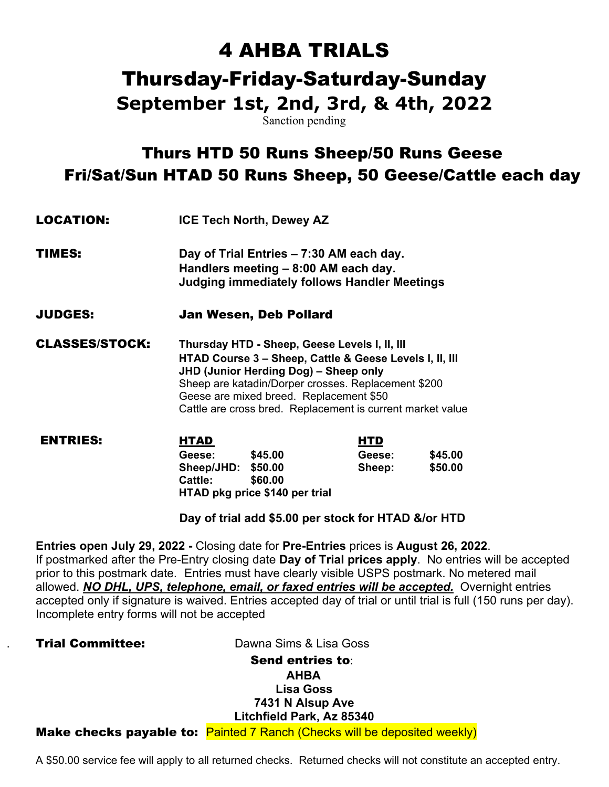# 4 AHBA TRIALS

# Thursday-Friday-Saturday-Sunday

**September 1st, 2nd, 3rd, & 4th, 2022** 

Sanction pending

# Thurs HTD 50 Runs Sheep/50 Runs Geese Fri/Sat/Sun HTAD 50 Runs Sheep, 50 Geese/Cattle each day

| <b>LOCATION:</b>      | <b>ICE Tech North, Dewey AZ</b><br>Day of Trial Entries – 7:30 AM each day.<br>Handlers meeting - 8:00 AM each day.<br><b>Judging immediately follows Handler Meetings</b><br>Jan Wesen, Deb Pollard |                                                                                                                                                                                                                               |  |  |
|-----------------------|------------------------------------------------------------------------------------------------------------------------------------------------------------------------------------------------------|-------------------------------------------------------------------------------------------------------------------------------------------------------------------------------------------------------------------------------|--|--|
| TIMES:                |                                                                                                                                                                                                      |                                                                                                                                                                                                                               |  |  |
| JUDGES:               |                                                                                                                                                                                                      |                                                                                                                                                                                                                               |  |  |
| <b>CLASSES/STOCK:</b> | JHD (Junior Herding Dog) - Sheep only<br>Geese are mixed breed. Replacement \$50                                                                                                                     | Thursday HTD - Sheep, Geese Levels I, II, III<br>HTAD Course 3 - Sheep, Cattle & Geese Levels I, II, III<br>Sheep are katadin/Dorper crosses. Replacement \$200<br>Cattle are cross bred. Replacement is current market value |  |  |
| NTDIEC.               | штап                                                                                                                                                                                                 | итп                                                                                                                                                                                                                           |  |  |

| <b>ENTRIES:</b> | <b>HTAD</b>                    |         | <b>HTD</b> |         |
|-----------------|--------------------------------|---------|------------|---------|
|                 | Geese:                         | \$45.00 | Geese:     | \$45.00 |
|                 | Sheep/JHD: \$50.00             |         | Sheep:     | \$50.00 |
|                 | <b>Cattle:</b>                 | \$60.00 |            |         |
|                 | HTAD pkg price \$140 per trial |         |            |         |

 **Day of trial add \$5.00 per stock for HTAD &/or HTD**

**Entries open July 29, 2022 -** Closing date for **Pre-Entries** prices is **August 26, 2022**. If postmarked after the Pre-Entry closing date **Day of Trial prices apply**. No entries will be accepted prior to this postmark date. Entries must have clearly visible USPS postmark. No metered mail allowed. *NO DHL, UPS, telephone, email, or faxed entries will be accepted.* Overnight entries accepted only if signature is waived. Entries accepted day of trial or until trial is full (150 runs per day). Incomplete entry forms will not be accepted

**Trial Committee:** Dawna Sims & Lisa Goss

### Send entries to: **AHBA Lisa Goss 7431 N Alsup Ave Litchfield Park, Az 85340**  Make checks payable to: Painted 7 Ranch (Checks will be deposited weekly)

A \$50.00 service fee will apply to all returned checks. Returned checks will not constitute an accepted entry.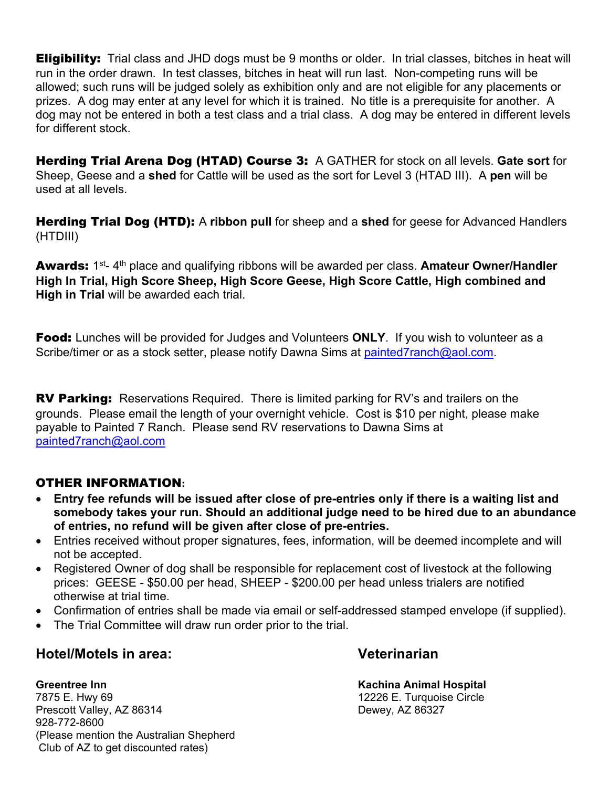**Eligibility:** Trial class and JHD dogs must be 9 months or older. In trial classes, bitches in heat will run in the order drawn. In test classes, bitches in heat will run last. Non-competing runs will be allowed; such runs will be judged solely as exhibition only and are not eligible for any placements or prizes. A dog may enter at any level for which it is trained. No title is a prerequisite for another. A dog may not be entered in both a test class and a trial class. A dog may be entered in different levels for different stock.

Herding Trial Arena Dog (HTAD) Course 3: A GATHER for stock on all levels. **Gate sort** for Sheep, Geese and a **shed** for Cattle will be used as the sort for Level 3 (HTAD III). A **pen** will be used at all levels.

Herding Trial Dog (HTD): A **ribbon pull** for sheep and a **shed** for geese for Advanced Handlers (HTDIII)

Awards: 1<sup>st</sup>- 4<sup>th</sup> place and qualifying ribbons will be awarded per class. Amateur Owner/Handler **High In Trial, High Score Sheep, High Score Geese, High Score Cattle, High combined and High in Trial** will be awarded each trial.

Food: Lunches will be provided for Judges and Volunteers **ONLY**. If you wish to volunteer as a Scribe/timer or as a stock setter, please notify Dawna Sims at painted7ranch@aol.com.

**RV Parking:** Reservations Required. There is limited parking for RV's and trailers on the grounds. Please email the length of your overnight vehicle. Cost is \$10 per night, please make payable to Painted 7 Ranch. Please send RV reservations to Dawna Sims at painted7ranch@aol.com

### OTHER INFORMATION**:**

- **Entry fee refunds will be issued after close of pre-entries only if there is a waiting list and somebody takes your run. Should an additional judge need to be hired due to an abundance of entries, no refund will be given after close of pre-entries.**
- Entries received without proper signatures, fees, information, will be deemed incomplete and will not be accepted.
- Registered Owner of dog shall be responsible for replacement cost of livestock at the following prices: GEESE - \$50.00 per head, SHEEP - \$200.00 per head unless trialers are notified otherwise at trial time.
- Confirmation of entries shall be made via email or self-addressed stamped envelope (if supplied).
- The Trial Committee will draw run order prior to the trial.

### **Hotel/Motels in area: Veterinarian**

**Greentree Inn Kachina Animal Hospital**  7875 E. Hwy 69 12226 E. Turquoise Circle Prescott Valley, AZ 86314 928-772-8600 (Please mention the Australian Shepherd Club of AZ to get discounted rates)